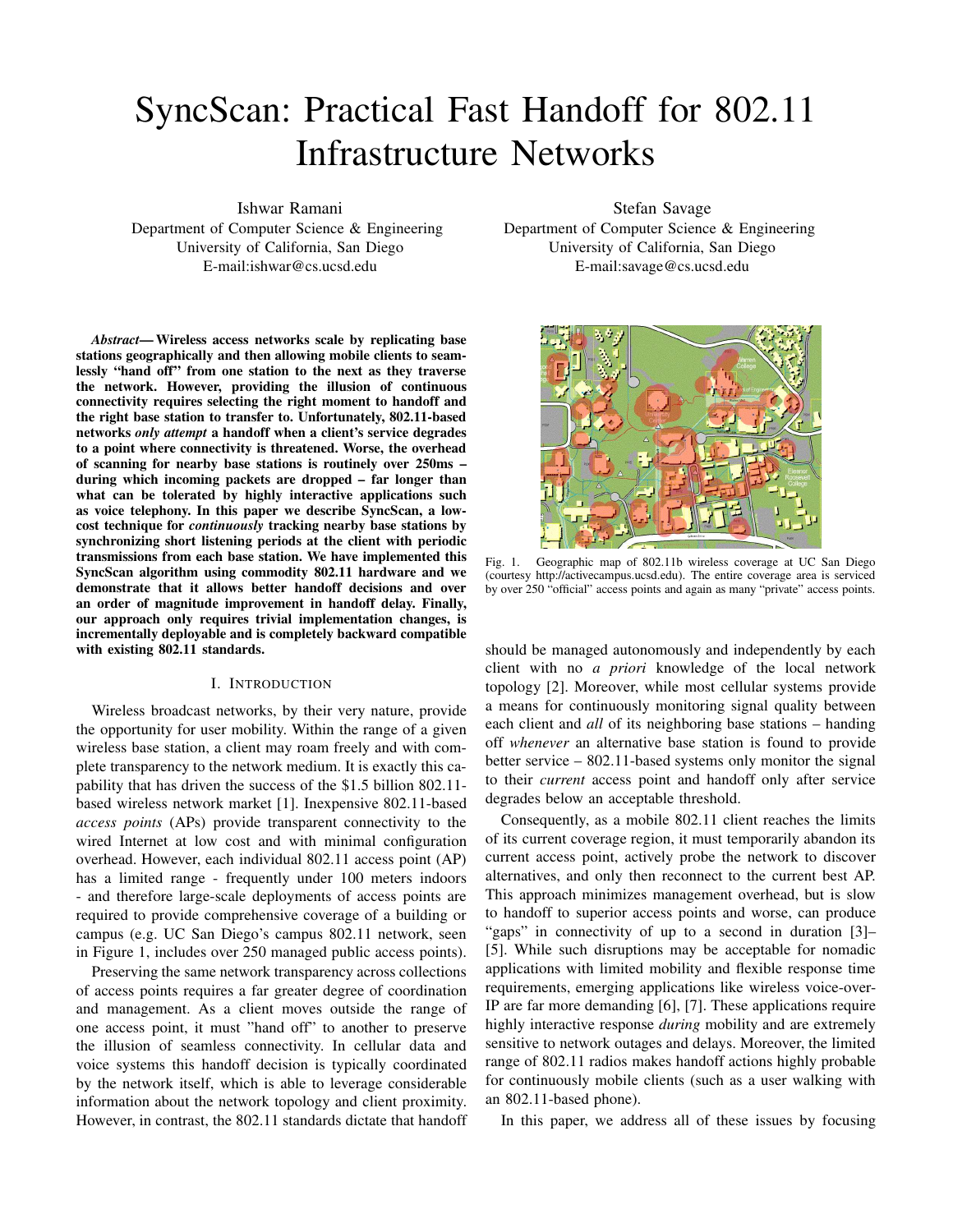# SyncScan: Practical Fast Handoff for 802.11 Infrastructure Networks

Ishwar Ramani

Department of Computer Science & Engineering University of California, San Diego E-mail:ishwar@cs.ucsd.edu

*Abstract***— Wireless access networks scale by replicating base stations geographically and then allowing mobile clients to seamlessly "hand off" from one station to the next as they traverse the network. However, providing the illusion of continuous connectivity requires selecting the right moment to handoff and the right base station to transfer to. Unfortunately, 802.11-based networks** *only attempt* **a handoff when a client's service degrades to a point where connectivity is threatened. Worse, the overhead of scanning for nearby base stations is routinely over 250ms – during which incoming packets are dropped – far longer than what can be tolerated by highly interactive applications such as voice telephony. In this paper we describe SyncScan, a lowcost technique for** *continuously* **tracking nearby base stations by synchronizing short listening periods at the client with periodic transmissions from each base station. We have implemented this SyncScan algorithm using commodity 802.11 hardware and we demonstrate that it allows better handoff decisions and over an order of magnitude improvement in handoff delay. Finally, our approach only requires trivial implementation changes, is incrementally deployable and is completely backward compatible with existing 802.11 standards.**

# I. INTRODUCTION

Wireless broadcast networks, by their very nature, provide the opportunity for user mobility. Within the range of a given wireless base station, a client may roam freely and with complete transparency to the network medium. It is exactly this capability that has driven the success of the \$1.5 billion 802.11 based wireless network market [1]. Inexpensive 802.11-based *access points* (APs) provide transparent connectivity to the wired Internet at low cost and with minimal configuration overhead. However, each individual 802.11 access point (AP) has a limited range - frequently under 100 meters indoors - and therefore large-scale deployments of access points are required to provide comprehensive coverage of a building or campus (e.g. UC San Diego's campus 802.11 network, seen in Figure 1, includes over 250 managed public access points).

Preserving the same network transparency across collections of access points requires a far greater degree of coordination and management. As a client moves outside the range of one access point, it must "hand off" to another to preserve the illusion of seamless connectivity. In cellular data and voice systems this handoff decision is typically coordinated by the network itself, which is able to leverage considerable information about the network topology and client proximity. However, in contrast, the 802.11 standards dictate that handoff

Stefan Savage

Department of Computer Science & Engineering University of California, San Diego E-mail:savage@cs.ucsd.edu



Fig. 1. Geographic map of 802.11b wireless coverage at UC San Diego (courtesy http://activecampus.ucsd.edu). The entire coverage area is serviced by over 250 "official" access points and again as many "private" access points.

should be managed autonomously and independently by each client with no *a priori* knowledge of the local network topology [2]. Moreover, while most cellular systems provide a means for continuously monitoring signal quality between each client and *all* of its neighboring base stations – handing off *whenever* an alternative base station is found to provide better service – 802.11-based systems only monitor the signal to their *current* access point and handoff only after service degrades below an acceptable threshold.

Consequently, as a mobile 802.11 client reaches the limits of its current coverage region, it must temporarily abandon its current access point, actively probe the network to discover alternatives, and only then reconnect to the current best AP. This approach minimizes management overhead, but is slow to handoff to superior access points and worse, can produce "gaps" in connectivity of up to a second in duration [3]– [5]. While such disruptions may be acceptable for nomadic applications with limited mobility and flexible response time requirements, emerging applications like wireless voice-over-IP are far more demanding [6], [7]. These applications require highly interactive response *during* mobility and are extremely sensitive to network outages and delays. Moreover, the limited range of 802.11 radios makes handoff actions highly probable for continuously mobile clients (such as a user walking with an 802.11-based phone).

In this paper, we address all of these issues by focusing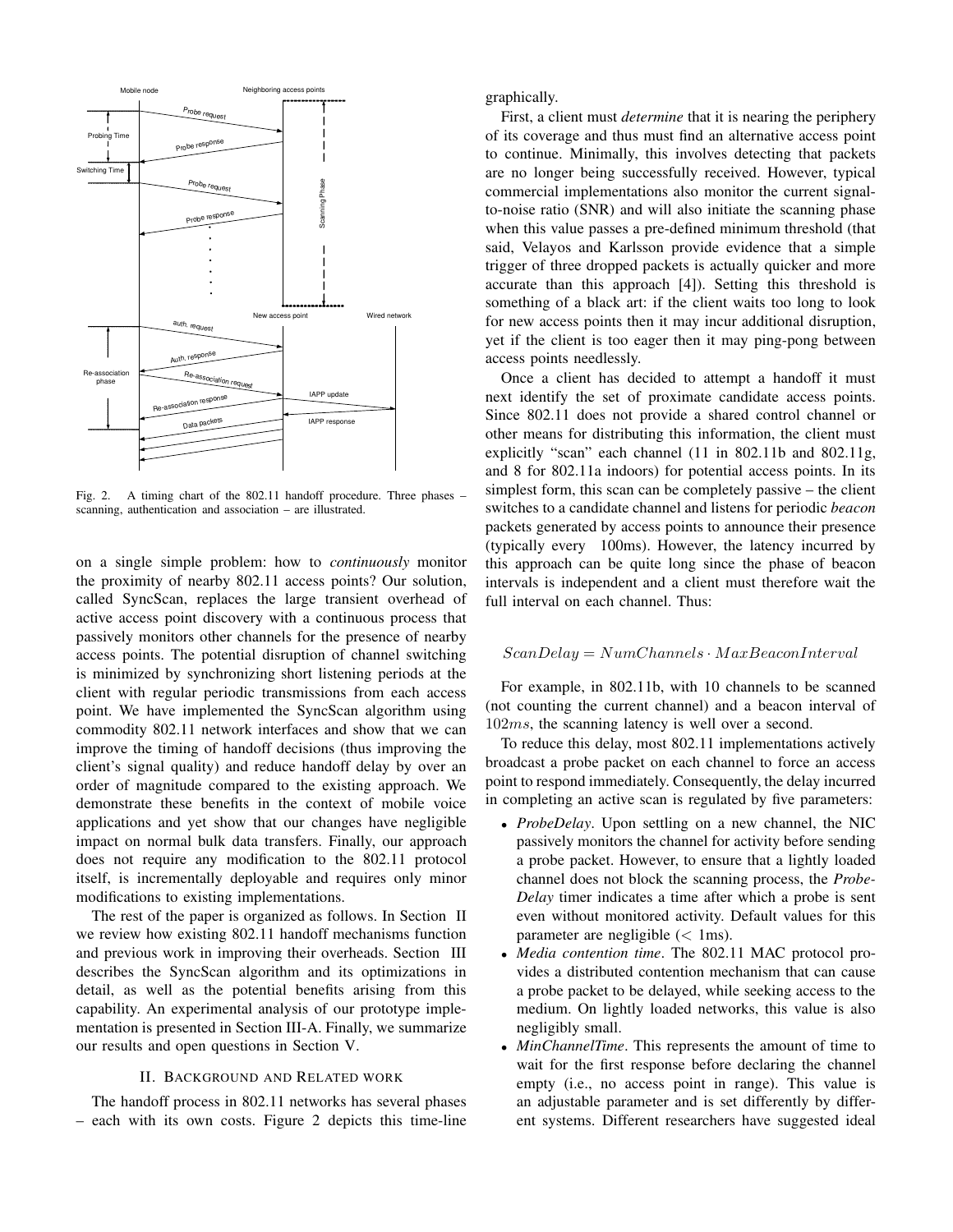

Fig. 2. A timing chart of the 802.11 handoff procedure. Three phases – scanning, authentication and association – are illustrated.

on a single simple problem: how to *continuously* monitor the proximity of nearby 802.11 access points? Our solution, called SyncScan, replaces the large transient overhead of active access point discovery with a continuous process that passively monitors other channels for the presence of nearby access points. The potential disruption of channel switching is minimized by synchronizing short listening periods at the client with regular periodic transmissions from each access point. We have implemented the SyncScan algorithm using commodity 802.11 network interfaces and show that we can improve the timing of handoff decisions (thus improving the client's signal quality) and reduce handoff delay by over an order of magnitude compared to the existing approach. We demonstrate these benefits in the context of mobile voice applications and yet show that our changes have negligible impact on normal bulk data transfers. Finally, our approach does not require any modification to the 802.11 protocol itself, is incrementally deployable and requires only minor modifications to existing implementations.

The rest of the paper is organized as follows. In Section II we review how existing 802.11 handoff mechanisms function and previous work in improving their overheads. Section III describes the SyncScan algorithm and its optimizations in detail, as well as the potential benefits arising from this capability. An experimental analysis of our prototype implementation is presented in Section III-A. Finally, we summarize our results and open questions in Section V.

# II. BACKGROUND AND RELATED WORK

The handoff process in 802.11 networks has several phases – each with its own costs. Figure 2 depicts this time-line graphically.

First, a client must *determine* that it is nearing the periphery of its coverage and thus must find an alternative access point to continue. Minimally, this involves detecting that packets are no longer being successfully received. However, typical commercial implementations also monitor the current signalto-noise ratio (SNR) and will also initiate the scanning phase when this value passes a pre-defined minimum threshold (that said, Velayos and Karlsson provide evidence that a simple trigger of three dropped packets is actually quicker and more accurate than this approach [4]). Setting this threshold is something of a black art: if the client waits too long to look for new access points then it may incur additional disruption, yet if the client is too eager then it may ping-pong between access points needlessly.

Once a client has decided to attempt a handoff it must next identify the set of proximate candidate access points. Since 802.11 does not provide a shared control channel or other means for distributing this information, the client must explicitly "scan" each channel (11 in 802.11b and 802.11g, and 8 for 802.11a indoors) for potential access points. In its simplest form, this scan can be completely passive – the client switches to a candidate channel and listens for periodic *beacon* packets generated by access points to announce their presence (typically every 100ms). However, the latency incurred by this approach can be quite long since the phase of beacon intervals is independent and a client must therefore wait the full interval on each channel. Thus:

#### $ScanDelay = NumChannels \cdot MaxBeaconInterval$

For example, in 802.11b, with 10 channels to be scanned (not counting the current channel) and a beacon interval of 102ms, the scanning latency is well over a second.

To reduce this delay, most 802.11 implementations actively broadcast a probe packet on each channel to force an access point to respond immediately. Consequently, the delay incurred in completing an active scan is regulated by five parameters:

- *ProbeDelay*. Upon settling on a new channel, the NIC passively monitors the channel for activity before sending a probe packet. However, to ensure that a lightly loaded channel does not block the scanning process, the *Probe-Delay* timer indicates a time after which a probe is sent even without monitored activity. Default values for this parameter are negligible  $(< 1 \text{ms})$ .
- *Media contention time*. The 802.11 MAC protocol provides a distributed contention mechanism that can cause a probe packet to be delayed, while seeking access to the medium. On lightly loaded networks, this value is also negligibly small.
- *MinChannelTime*. This represents the amount of time to wait for the first response before declaring the channel empty (i.e., no access point in range). This value is an adjustable parameter and is set differently by different systems. Different researchers have suggested ideal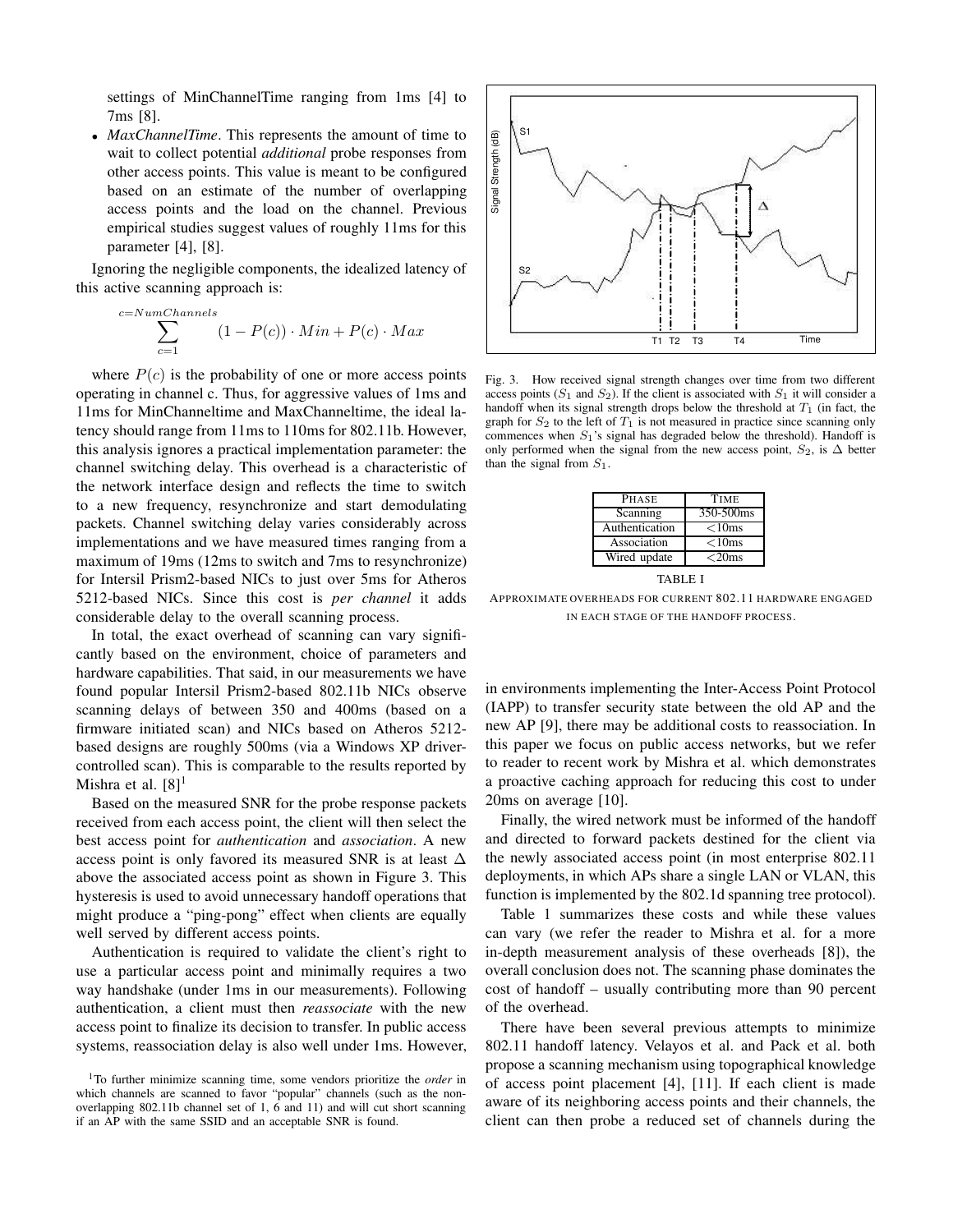settings of MinChannelTime ranging from 1ms [4] to 7ms [8].

• *MaxChannelTime*. This represents the amount of time to wait to collect potential *additional* probe responses from other access points. This value is meant to be configured based on an estimate of the number of overlapping access points and the load on the channel. Previous empirical studies suggest values of roughly 11ms for this parameter [4], [8].

Ignoring the negligible components, the idealized latency of this active scanning approach is:

$$
\sum_{c=1}^{c=NumChannels} (1 - P(c)) \cdot Min + P(c) \cdot Max
$$

where  $P(c)$  is the probability of one or more access points operating in channel c. Thus, for aggressive values of 1ms and 11ms for MinChanneltime and MaxChanneltime, the ideal latency should range from 11ms to 110ms for 802.11b. However, this analysis ignores a practical implementation parameter: the channel switching delay. This overhead is a characteristic of the network interface design and reflects the time to switch to a new frequency, resynchronize and start demodulating packets. Channel switching delay varies considerably across implementations and we have measured times ranging from a maximum of 19ms (12ms to switch and 7ms to resynchronize) for Intersil Prism2-based NICs to just over 5ms for Atheros 5212-based NICs. Since this cost is *per channel* it adds considerable delay to the overall scanning process.

In total, the exact overhead of scanning can vary significantly based on the environment, choice of parameters and hardware capabilities. That said, in our measurements we have found popular Intersil Prism2-based 802.11b NICs observe scanning delays of between 350 and 400ms (based on a firmware initiated scan) and NICs based on Atheros 5212 based designs are roughly 500ms (via a Windows XP drivercontrolled scan). This is comparable to the results reported by Mishra et al.  $[8]$ <sup>1</sup>

Based on the measured SNR for the probe response packets received from each access point, the client will then select the best access point for *authentication* and *association*. A new access point is only favored its measured SNR is at least ∆ above the associated access point as shown in Figure 3. This hysteresis is used to avoid unnecessary handoff operations that might produce a "ping-pong" effect when clients are equally well served by different access points.

Authentication is required to validate the client's right to use a particular access point and minimally requires a two way handshake (under 1ms in our measurements). Following authentication, a client must then *reassociate* with the new access point to finalize its decision to transfer. In public access systems, reassociation delay is also well under 1ms. However,



Fig. 3. How received signal strength changes over time from two different access points  $(S_1 \text{ and } S_2)$ . If the client is associated with  $S_1$  it will consider a handoff when its signal strength drops below the threshold at  $T_1$  (in fact, the graph for  $S_2$  to the left of  $T_1$  is not measured in practice since scanning only commences when  $S_1$ 's signal has degraded below the threshold). Handoff is only performed when the signal from the new access point,  $S_2$ , is  $\Delta$  better than the signal from  $S_1$ .

| <b>TIME</b>          |
|----------------------|
| 350-500ms            |
| $<$ 10 $ms$          |
| $<$ 10 $ms$          |
| $<$ 20 $\mathrm{ms}$ |
|                      |

TABLE I

APPROXIMATE OVERHEADS FOR CURRENT 802.11 HARDWARE ENGAGED IN EACH STAGE OF THE HANDOFF PROCESS.

in environments implementing the Inter-Access Point Protocol (IAPP) to transfer security state between the old AP and the new AP [9], there may be additional costs to reassociation. In this paper we focus on public access networks, but we refer to reader to recent work by Mishra et al. which demonstrates a proactive caching approach for reducing this cost to under 20ms on average [10].

Finally, the wired network must be informed of the handoff and directed to forward packets destined for the client via the newly associated access point (in most enterprise 802.11 deployments, in which APs share a single LAN or VLAN, this function is implemented by the 802.1d spanning tree protocol).

Table 1 summarizes these costs and while these values can vary (we refer the reader to Mishra et al. for a more in-depth measurement analysis of these overheads [8]), the overall conclusion does not. The scanning phase dominates the cost of handoff – usually contributing more than 90 percent of the overhead.

There have been several previous attempts to minimize 802.11 handoff latency. Velayos et al. and Pack et al. both propose a scanning mechanism using topographical knowledge of access point placement [4], [11]. If each client is made aware of its neighboring access points and their channels, the client can then probe a reduced set of channels during the

<sup>1</sup>To further minimize scanning time, some vendors prioritize the *order* in which channels are scanned to favor "popular" channels (such as the nonoverlapping 802.11b channel set of 1, 6 and 11) and will cut short scanning if an AP with the same SSID and an acceptable SNR is found.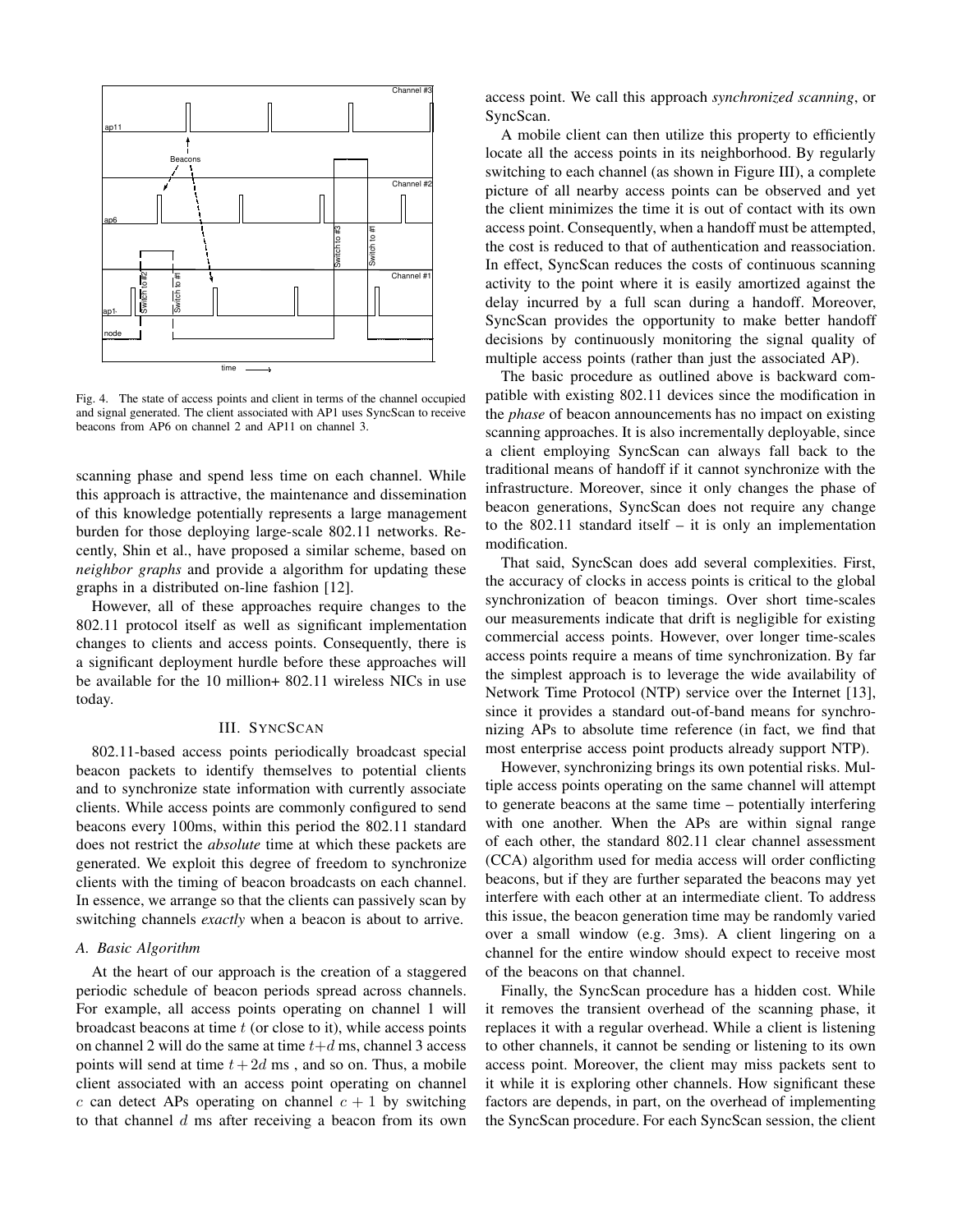

Fig. 4. The state of access points and client in terms of the channel occupied and signal generated. The client associated with AP1 uses SyncScan to receive beacons from AP6 on channel 2 and AP11 on channel 3.

scanning phase and spend less time on each channel. While this approach is attractive, the maintenance and dissemination of this knowledge potentially represents a large management burden for those deploying large-scale 802.11 networks. Recently, Shin et al., have proposed a similar scheme, based on *neighbor graphs* and provide a algorithm for updating these graphs in a distributed on-line fashion [12].

However, all of these approaches require changes to the 802.11 protocol itself as well as significant implementation changes to clients and access points. Consequently, there is a significant deployment hurdle before these approaches will be available for the 10 million+ 802.11 wireless NICs in use today.

#### III. SYNCSCAN

802.11-based access points periodically broadcast special beacon packets to identify themselves to potential clients and to synchronize state information with currently associate clients. While access points are commonly configured to send beacons every 100ms, within this period the 802.11 standard does not restrict the *absolute* time at which these packets are generated. We exploit this degree of freedom to synchronize clients with the timing of beacon broadcasts on each channel. In essence, we arrange so that the clients can passively scan by switching channels *exactly* when a beacon is about to arrive.

# *A. Basic Algorithm*

At the heart of our approach is the creation of a staggered periodic schedule of beacon periods spread across channels. For example, all access points operating on channel 1 will broadcast beacons at time  $t$  (or close to it), while access points on channel 2 will do the same at time  $t+d$  ms, channel 3 access points will send at time  $t+2d$  ms, and so on. Thus, a mobile client associated with an access point operating on channel c can detect APs operating on channel  $c + 1$  by switching to that channel  $d$  ms after receiving a beacon from its own access point. We call this approach *synchronized scanning*, or SyncScan.

A mobile client can then utilize this property to efficiently locate all the access points in its neighborhood. By regularly switching to each channel (as shown in Figure III), a complete picture of all nearby access points can be observed and yet the client minimizes the time it is out of contact with its own access point. Consequently, when a handoff must be attempted, the cost is reduced to that of authentication and reassociation. In effect, SyncScan reduces the costs of continuous scanning activity to the point where it is easily amortized against the delay incurred by a full scan during a handoff. Moreover, SyncScan provides the opportunity to make better handoff decisions by continuously monitoring the signal quality of multiple access points (rather than just the associated AP).

The basic procedure as outlined above is backward compatible with existing 802.11 devices since the modification in the *phase* of beacon announcements has no impact on existing scanning approaches. It is also incrementally deployable, since a client employing SyncScan can always fall back to the traditional means of handoff if it cannot synchronize with the infrastructure. Moreover, since it only changes the phase of beacon generations, SyncScan does not require any change to the 802.11 standard itself – it is only an implementation modification.

That said, SyncScan does add several complexities. First, the accuracy of clocks in access points is critical to the global synchronization of beacon timings. Over short time-scales our measurements indicate that drift is negligible for existing commercial access points. However, over longer time-scales access points require a means of time synchronization. By far the simplest approach is to leverage the wide availability of Network Time Protocol (NTP) service over the Internet [13], since it provides a standard out-of-band means for synchronizing APs to absolute time reference (in fact, we find that most enterprise access point products already support NTP).

However, synchronizing brings its own potential risks. Multiple access points operating on the same channel will attempt to generate beacons at the same time – potentially interfering with one another. When the APs are within signal range of each other, the standard 802.11 clear channel assessment (CCA) algorithm used for media access will order conflicting beacons, but if they are further separated the beacons may yet interfere with each other at an intermediate client. To address this issue, the beacon generation time may be randomly varied over a small window (e.g. 3ms). A client lingering on a channel for the entire window should expect to receive most of the beacons on that channel.

Finally, the SyncScan procedure has a hidden cost. While it removes the transient overhead of the scanning phase, it replaces it with a regular overhead. While a client is listening to other channels, it cannot be sending or listening to its own access point. Moreover, the client may miss packets sent to it while it is exploring other channels. How significant these factors are depends, in part, on the overhead of implementing the SyncScan procedure. For each SyncScan session, the client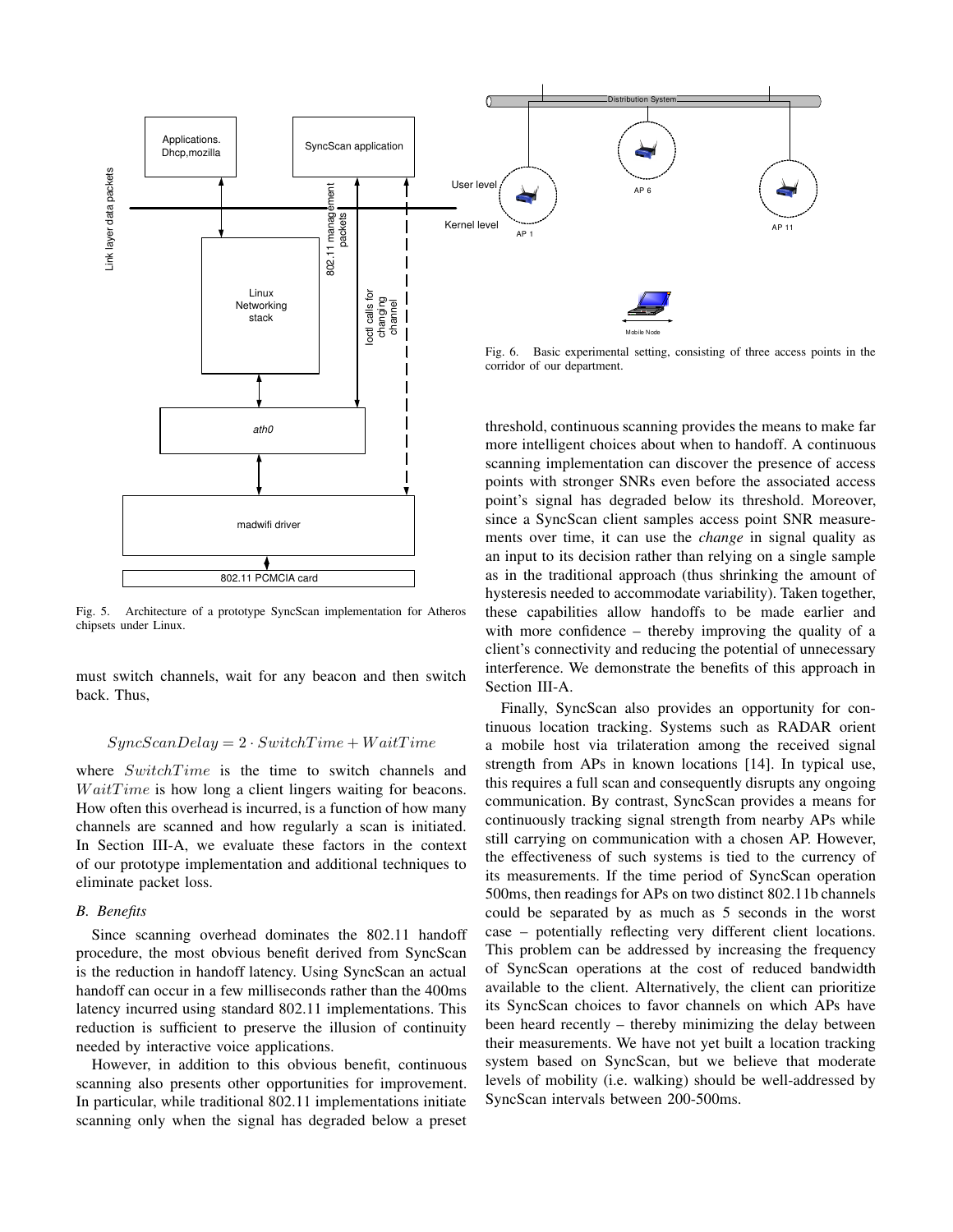

802.11 PCMCIA card

madwifi driver

Fig. 5. Architecture of a prototype SyncScan implementation for Atheros chipsets under Linux.

must switch channels, wait for any beacon and then switch back. Thus,

# $SyncScanDelay = 2 \cdot SwitchTime + WaitTime$

where  $SwitchTime$  is the time to switch channels and  $WaitTime$  is how long a client lingers waiting for beacons. How often this overhead is incurred, is a function of how many channels are scanned and how regularly a scan is initiated. In Section III-A, we evaluate these factors in the context of our prototype implementation and additional techniques to eliminate packet loss.

## *B. Benefits*

Since scanning overhead dominates the 802.11 handoff procedure, the most obvious benefit derived from SyncScan is the reduction in handoff latency. Using SyncScan an actual handoff can occur in a few milliseconds rather than the 400ms latency incurred using standard 802.11 implementations. This reduction is sufficient to preserve the illusion of continuity needed by interactive voice applications.

However, in addition to this obvious benefit, continuous scanning also presents other opportunities for improvement. In particular, while traditional 802.11 implementations initiate scanning only when the signal has degraded below a preset

more intelligent choices about when to handoff. A continuous scanning implementation can discover the presence of access points with stronger SNRs even before the associated access point's signal has degraded below its threshold. Moreover, since a SyncScan client samples access point SNR measurements over time, it can use the *change* in signal quality as an input to its decision rather than relying on a single sample as in the traditional approach (thus shrinking the amount of hysteresis needed to accommodate variability). Taken together, these capabilities allow handoffs to be made earlier and with more confidence – thereby improving the quality of a client's connectivity and reducing the potential of unnecessary interference. We demonstrate the benefits of this approach in Section III-A.

Finally, SyncScan also provides an opportunity for continuous location tracking. Systems such as RADAR orient a mobile host via trilateration among the received signal strength from APs in known locations [14]. In typical use, this requires a full scan and consequently disrupts any ongoing communication. By contrast, SyncScan provides a means for continuously tracking signal strength from nearby APs while still carrying on communication with a chosen AP. However, the effectiveness of such systems is tied to the currency of its measurements. If the time period of SyncScan operation 500ms, then readings for APs on two distinct 802.11b channels could be separated by as much as 5 seconds in the worst case – potentially reflecting very different client locations. This problem can be addressed by increasing the frequency of SyncScan operations at the cost of reduced bandwidth available to the client. Alternatively, the client can prioritize its SyncScan choices to favor channels on which APs have been heard recently – thereby minimizing the delay between their measurements. We have not yet built a location tracking system based on SyncScan, but we believe that moderate levels of mobility (i.e. walking) should be well-addressed by SyncScan intervals between 200-500ms.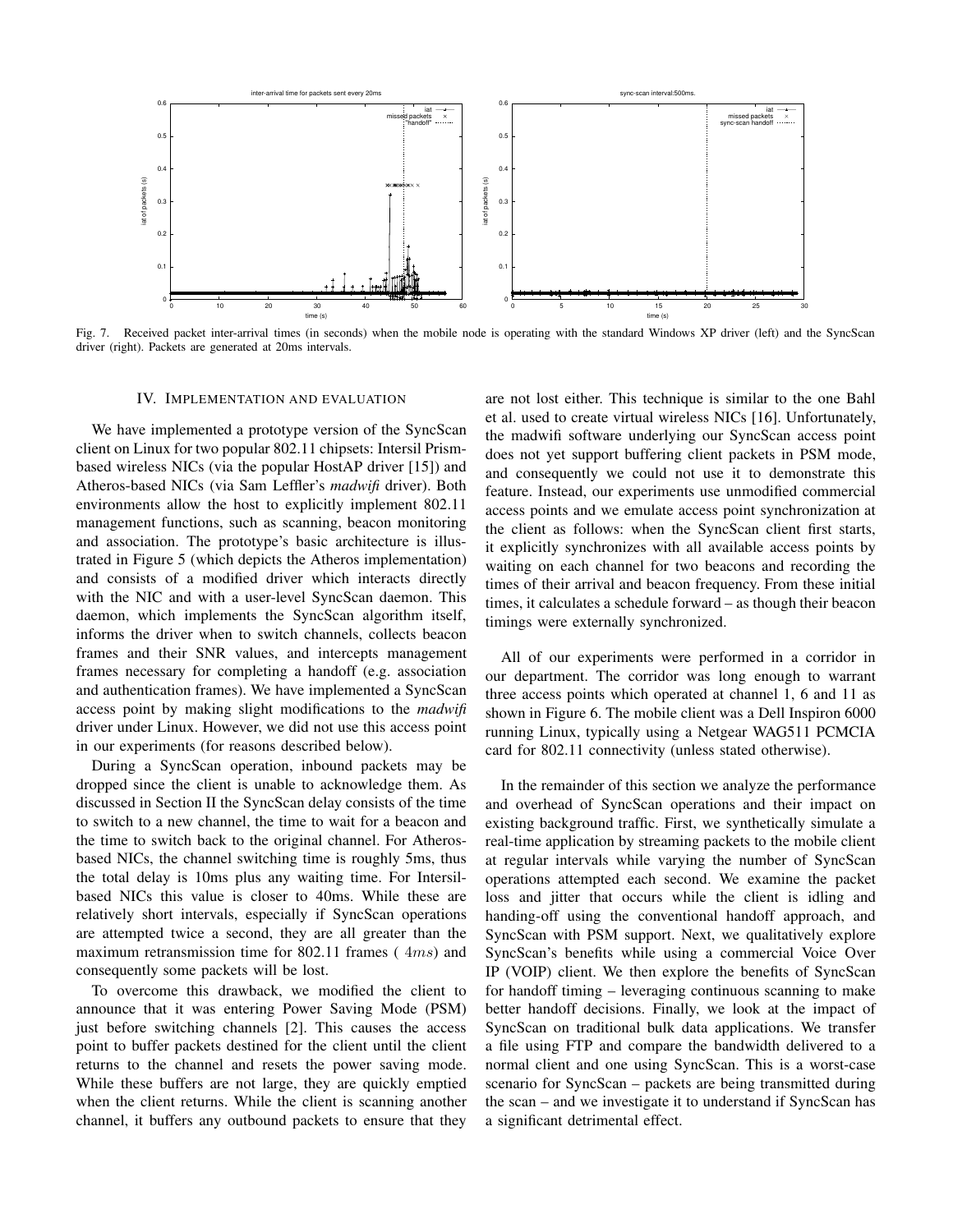

Fig. 7. Received packet inter-arrival times (in seconds) when the mobile node is operating with the standard Windows XP driver (left) and the SyncScan driver (right). Packets are generated at 20ms intervals.

#### IV. IMPLEMENTATION AND EVALUATION

We have implemented a prototype version of the SyncScan client on Linux for two popular 802.11 chipsets: Intersil Prismbased wireless NICs (via the popular HostAP driver [15]) and Atheros-based NICs (via Sam Leffler's *madwifi* driver). Both environments allow the host to explicitly implement 802.11 management functions, such as scanning, beacon monitoring and association. The prototype's basic architecture is illustrated in Figure 5 (which depicts the Atheros implementation) and consists of a modified driver which interacts directly with the NIC and with a user-level SyncScan daemon. This daemon, which implements the SyncScan algorithm itself, informs the driver when to switch channels, collects beacon frames and their SNR values, and intercepts management frames necessary for completing a handoff (e.g. association and authentication frames). We have implemented a SyncScan access point by making slight modifications to the *madwifi* driver under Linux. However, we did not use this access point in our experiments (for reasons described below).

During a SyncScan operation, inbound packets may be dropped since the client is unable to acknowledge them. As discussed in Section II the SyncScan delay consists of the time to switch to a new channel, the time to wait for a beacon and the time to switch back to the original channel. For Atherosbased NICs, the channel switching time is roughly 5ms, thus the total delay is 10ms plus any waiting time. For Intersilbased NICs this value is closer to 40ms. While these are relatively short intervals, especially if SyncScan operations are attempted twice a second, they are all greater than the maximum retransmission time for 802.11 frames (4ms) and consequently some packets will be lost.

To overcome this drawback, we modified the client to announce that it was entering Power Saving Mode (PSM) just before switching channels [2]. This causes the access point to buffer packets destined for the client until the client returns to the channel and resets the power saving mode. While these buffers are not large, they are quickly emptied when the client returns. While the client is scanning another channel, it buffers any outbound packets to ensure that they

are not lost either. This technique is similar to the one Bahl et al. used to create virtual wireless NICs [16]. Unfortunately, the madwifi software underlying our SyncScan access point does not yet support buffering client packets in PSM mode, and consequently we could not use it to demonstrate this feature. Instead, our experiments use unmodified commercial access points and we emulate access point synchronization at the client as follows: when the SyncScan client first starts, it explicitly synchronizes with all available access points by waiting on each channel for two beacons and recording the times of their arrival and beacon frequency. From these initial times, it calculates a schedule forward – as though their beacon timings were externally synchronized.

All of our experiments were performed in a corridor in our department. The corridor was long enough to warrant three access points which operated at channel 1, 6 and 11 as shown in Figure 6. The mobile client was a Dell Inspiron 6000 running Linux, typically using a Netgear WAG511 PCMCIA card for 802.11 connectivity (unless stated otherwise).

In the remainder of this section we analyze the performance and overhead of SyncScan operations and their impact on existing background traffic. First, we synthetically simulate a real-time application by streaming packets to the mobile client at regular intervals while varying the number of SyncScan operations attempted each second. We examine the packet loss and jitter that occurs while the client is idling and handing-off using the conventional handoff approach, and SyncScan with PSM support. Next, we qualitatively explore SyncScan's benefits while using a commercial Voice Over IP (VOIP) client. We then explore the benefits of SyncScan for handoff timing – leveraging continuous scanning to make better handoff decisions. Finally, we look at the impact of SyncScan on traditional bulk data applications. We transfer a file using FTP and compare the bandwidth delivered to a normal client and one using SyncScan. This is a worst-case scenario for SyncScan – packets are being transmitted during the scan – and we investigate it to understand if SyncScan has a significant detrimental effect.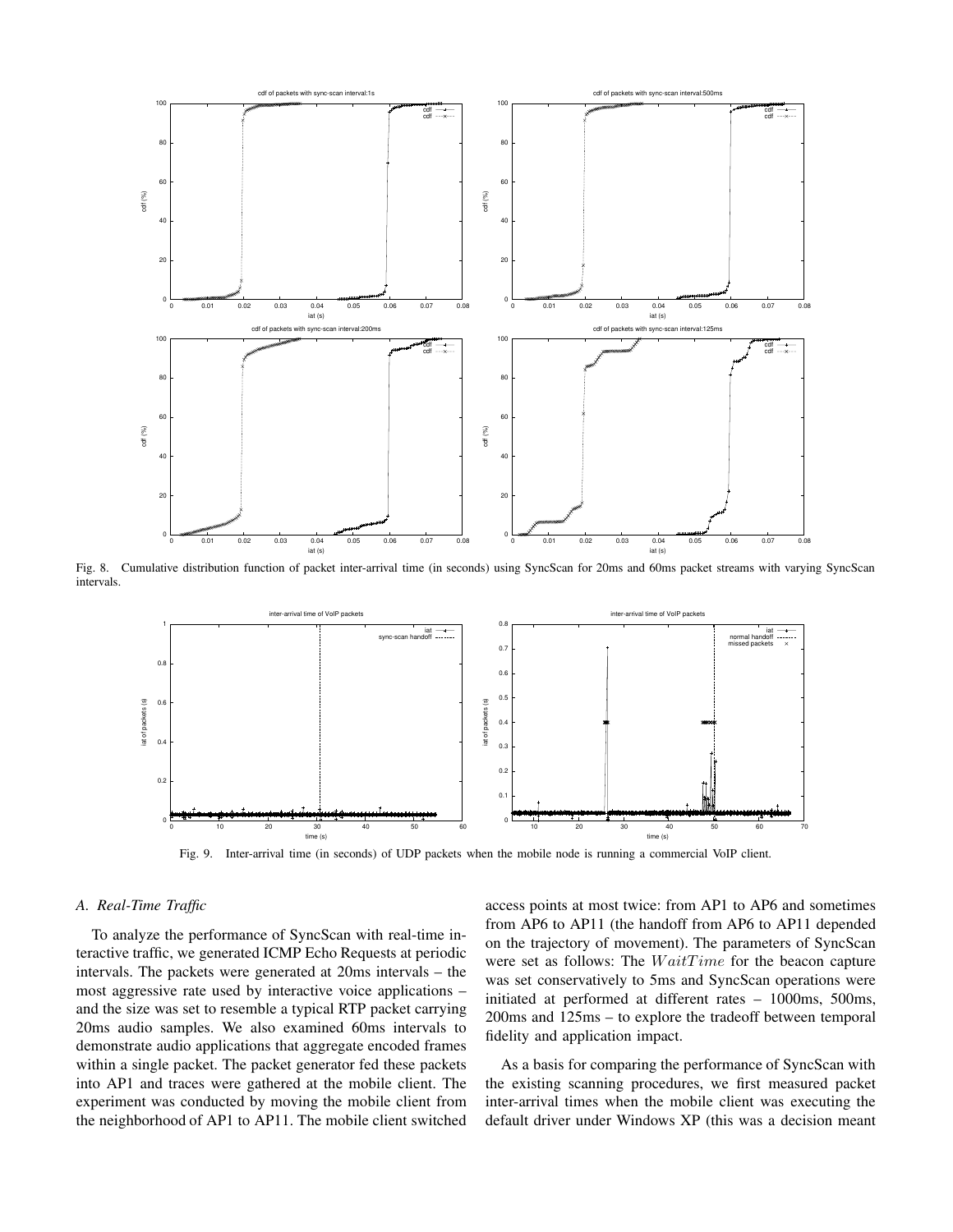

Fig. 8. Cumulative distribution function of packet inter-arrival time (in seconds) using SyncScan for 20ms and 60ms packet streams with varying SyncScan intervals.



Fig. 9. Inter-arrival time (in seconds) of UDP packets when the mobile node is running a commercial VoIP client.

## *A. Real-Time Traffic*

To analyze the performance of SyncScan with real-time interactive traffic, we generated ICMP Echo Requests at periodic intervals. The packets were generated at 20ms intervals – the most aggressive rate used by interactive voice applications – and the size was set to resemble a typical RTP packet carrying 20ms audio samples. We also examined 60ms intervals to demonstrate audio applications that aggregate encoded frames within a single packet. The packet generator fed these packets into AP1 and traces were gathered at the mobile client. The experiment was conducted by moving the mobile client from the neighborhood of AP1 to AP11. The mobile client switched

access points at most twice: from AP1 to AP6 and sometimes from AP6 to AP11 (the handoff from AP6 to AP11 depended on the trajectory of movement). The parameters of SyncScan were set as follows: The  $WaitTime$  for the beacon capture was set conservatively to 5ms and SyncScan operations were initiated at performed at different rates – 1000ms, 500ms, 200ms and 125ms – to explore the tradeoff between temporal fidelity and application impact.

As a basis for comparing the performance of SyncScan with the existing scanning procedures, we first measured packet inter-arrival times when the mobile client was executing the default driver under Windows XP (this was a decision meant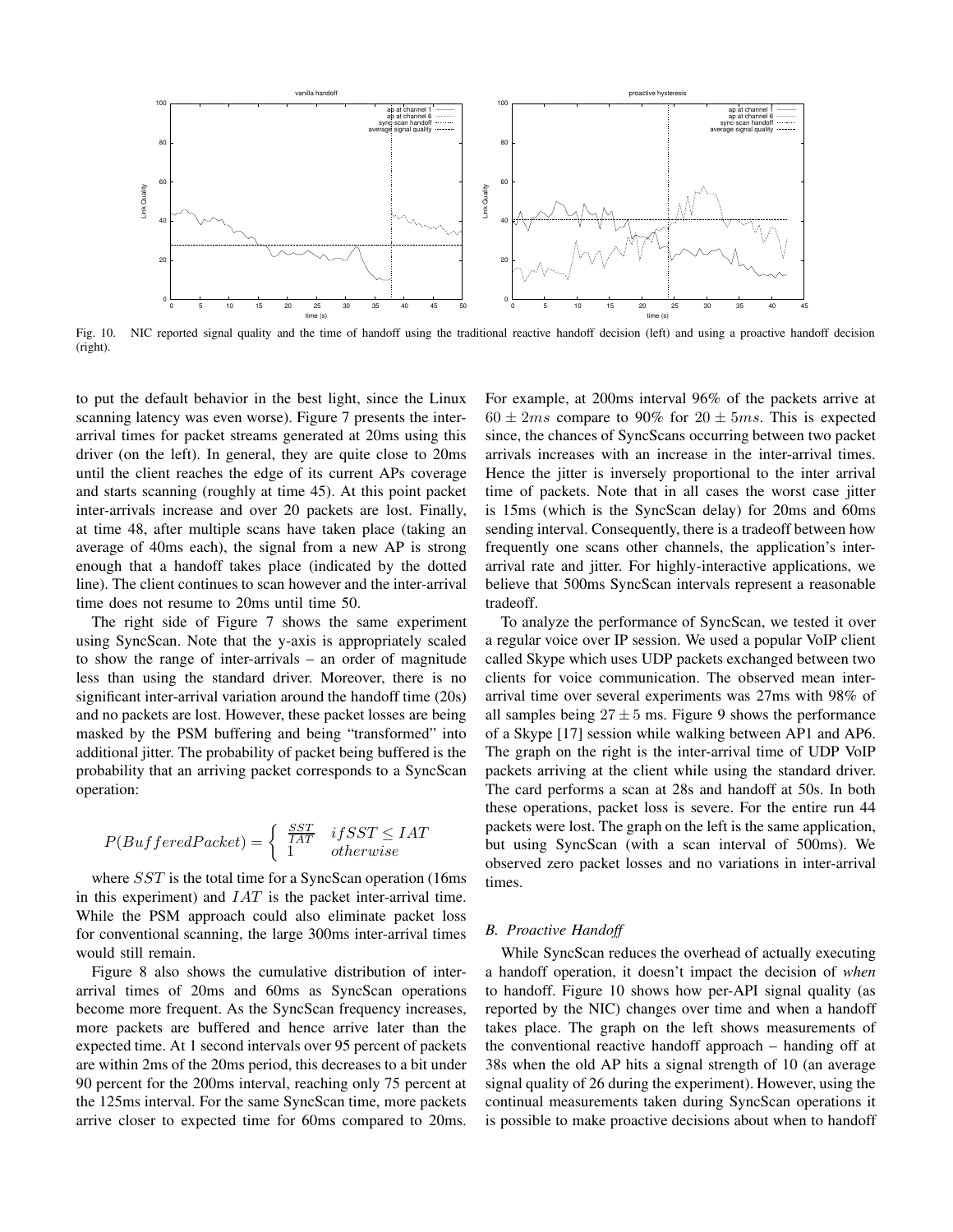

Fig. 10. NIC reported signal quality and the time of handoff using the traditional reactive handoff decision (left) and using a proactive handoff decision (right).

to put the default behavior in the best light, since the Linux scanning latency was even worse). Figure 7 presents the interarrival times for packet streams generated at 20ms using this driver (on the left). In general, they are quite close to 20ms until the client reaches the edge of its current APs coverage and starts scanning (roughly at time 45). At this point packet inter-arrivals increase and over 20 packets are lost. Finally, at time 48, after multiple scans have taken place (taking an average of 40ms each), the signal from a new AP is strong enough that a handoff takes place (indicated by the dotted line). The client continues to scan however and the inter-arrival time does not resume to 20ms until time 50.

The right side of Figure 7 shows the same experiment using SyncScan. Note that the y-axis is appropriately scaled to show the range of inter-arrivals – an order of magnitude less than using the standard driver. Moreover, there is no significant inter-arrival variation around the handoff time (20s) and no packets are lost. However, these packet losses are being masked by the PSM buffering and being "transformed" into additional jitter. The probability of packet being buffered is the probability that an arriving packet corresponds to a SyncScan operation:

$$
P(BufferedPacket) = \begin{cases} \frac{SST}{IAT} & if SST \le IAT\\ 1 & otherwise \end{cases}
$$

where  $SST$  is the total time for a SyncScan operation (16ms) in this experiment) and  $IAT$  is the packet inter-arrival time. While the PSM approach could also eliminate packet loss for conventional scanning, the large 300ms inter-arrival times would still remain.

Figure 8 also shows the cumulative distribution of interarrival times of 20ms and 60ms as SyncScan operations become more frequent. As the SyncScan frequency increases, more packets are buffered and hence arrive later than the expected time. At 1 second intervals over 95 percent of packets are within 2ms of the 20ms period, this decreases to a bit under 90 percent for the 200ms interval, reaching only 75 percent at the 125ms interval. For the same SyncScan time, more packets arrive closer to expected time for 60ms compared to 20ms. For example, at 200ms interval 96% of the packets arrive at  $60 \pm 2ms$  compare to 90% for  $20 \pm 5ms$ . This is expected since, the chances of SyncScans occurring between two packet arrivals increases with an increase in the inter-arrival times. Hence the jitter is inversely proportional to the inter arrival time of packets. Note that in all cases the worst case jitter is 15ms (which is the SyncScan delay) for 20ms and 60ms sending interval. Consequently, there is a tradeoff between how frequently one scans other channels, the application's interarrival rate and jitter. For highly-interactive applications, we believe that 500ms SyncScan intervals represent a reasonable tradeoff.

To analyze the performance of SyncScan, we tested it over a regular voice over IP session. We used a popular VoIP client called Skype which uses UDP packets exchanged between two clients for voice communication. The observed mean interarrival time over several experiments was 27ms with 98% of all samples being  $27 \pm 5$  ms. Figure 9 shows the performance of a Skype [17] session while walking between AP1 and AP6. The graph on the right is the inter-arrival time of UDP VoIP packets arriving at the client while using the standard driver. The card performs a scan at 28s and handoff at 50s. In both these operations, packet loss is severe. For the entire run 44 packets were lost. The graph on the left is the same application, but using SyncScan (with a scan interval of 500ms). We observed zero packet losses and no variations in inter-arrival times.

## *B. Proactive Handoff*

While SyncScan reduces the overhead of actually executing a handoff operation, it doesn't impact the decision of *when* to handoff. Figure 10 shows how per-API signal quality (as reported by the NIC) changes over time and when a handoff takes place. The graph on the left shows measurements of the conventional reactive handoff approach – handing off at 38s when the old AP hits a signal strength of 10 (an average signal quality of 26 during the experiment). However, using the continual measurements taken during SyncScan operations it is possible to make proactive decisions about when to handoff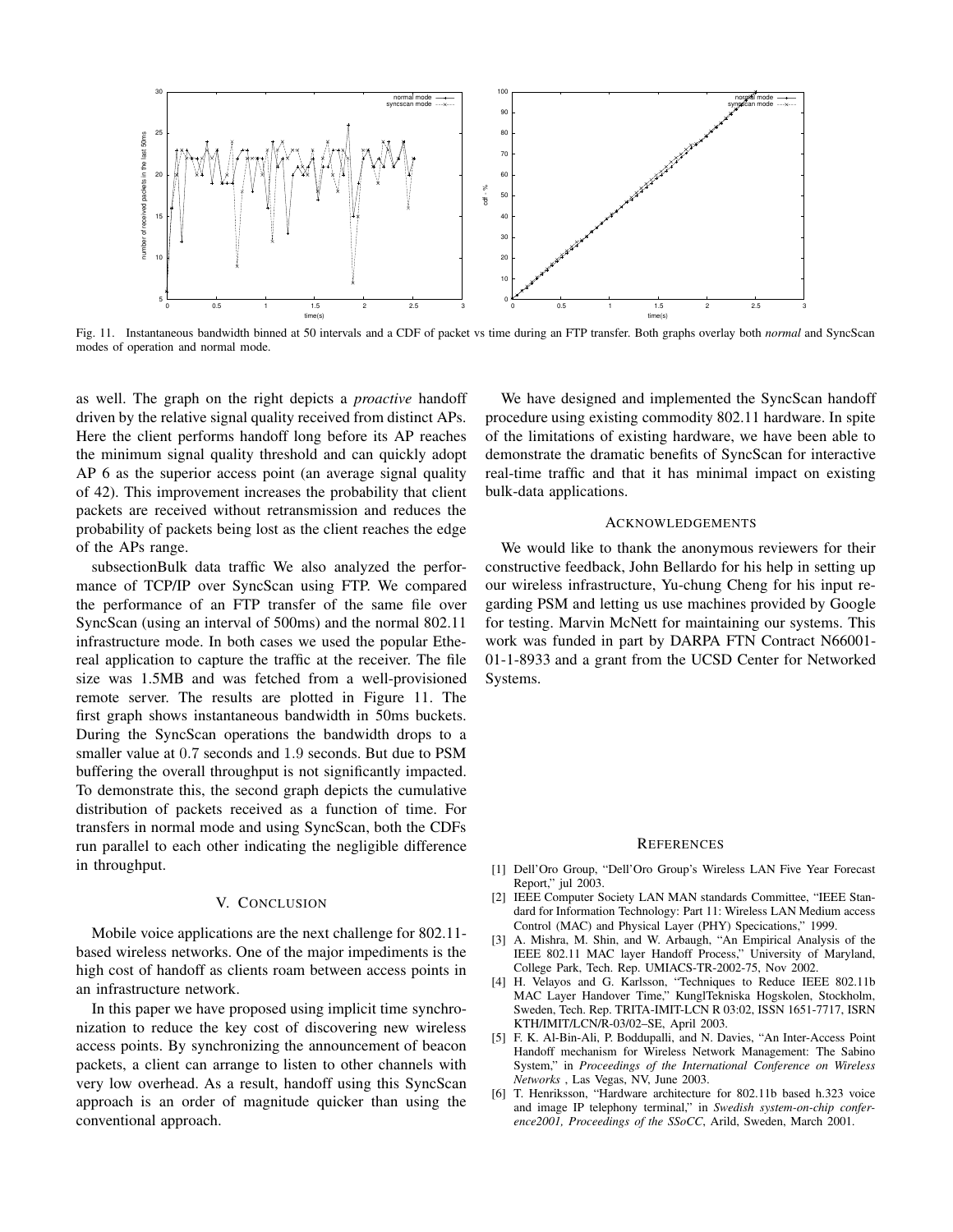

Fig. 11. Instantaneous bandwidth binned at 50 intervals and a CDF of packet vs time during an FTP transfer. Both graphs overlay both *normal* and SyncScan modes of operation and normal mode.

as well. The graph on the right depicts a *proactive* handoff driven by the relative signal quality received from distinct APs. Here the client performs handoff long before its AP reaches the minimum signal quality threshold and can quickly adopt AP 6 as the superior access point (an average signal quality of 42). This improvement increases the probability that client packets are received without retransmission and reduces the probability of packets being lost as the client reaches the edge of the APs range.

subsectionBulk data traffic We also analyzed the performance of TCP/IP over SyncScan using FTP. We compared the performance of an FTP transfer of the same file over SyncScan (using an interval of 500ms) and the normal 802.11 infrastructure mode. In both cases we used the popular Ethereal application to capture the traffic at the receiver. The file size was 1.5MB and was fetched from a well-provisioned remote server. The results are plotted in Figure 11. The first graph shows instantaneous bandwidth in 50ms buckets. During the SyncScan operations the bandwidth drops to a smaller value at 0.7 seconds and 1.9 seconds. But due to PSM buffering the overall throughput is not significantly impacted. To demonstrate this, the second graph depicts the cumulative distribution of packets received as a function of time. For transfers in normal mode and using SyncScan, both the CDFs run parallel to each other indicating the negligible difference in throughput.

#### V. CONCLUSION

Mobile voice applications are the next challenge for 802.11 based wireless networks. One of the major impediments is the high cost of handoff as clients roam between access points in an infrastructure network.

In this paper we have proposed using implicit time synchronization to reduce the key cost of discovering new wireless access points. By synchronizing the announcement of beacon packets, a client can arrange to listen to other channels with very low overhead. As a result, handoff using this SyncScan approach is an order of magnitude quicker than using the conventional approach.

We have designed and implemented the SyncScan handoff procedure using existing commodity 802.11 hardware. In spite of the limitations of existing hardware, we have been able to demonstrate the dramatic benefits of SyncScan for interactive real-time traffic and that it has minimal impact on existing bulk-data applications.

#### ACKNOWLEDGEMENTS

We would like to thank the anonymous reviewers for their constructive feedback, John Bellardo for his help in setting up our wireless infrastructure, Yu-chung Cheng for his input regarding PSM and letting us use machines provided by Google for testing. Marvin McNett for maintaining our systems. This work was funded in part by DARPA FTN Contract N66001- 01-1-8933 and a grant from the UCSD Center for Networked Systems.

#### **REFERENCES**

- [1] Dell'Oro Group, "Dell'Oro Group's Wireless LAN Five Year Forecast Report," jul 2003.
- [2] IEEE Computer Society LAN MAN standards Committee, "IEEE Standard for Information Technology: Part 11: Wireless LAN Medium access Control (MAC) and Physical Layer (PHY) Specications," 1999.
- [3] A. Mishra, M. Shin, and W. Arbaugh, "An Empirical Analysis of the IEEE 802.11 MAC layer Handoff Process," University of Maryland, College Park, Tech. Rep. UMIACS-TR-2002-75, Nov 2002.
- [4] H. Velayos and G. Karlsson, "Techniques to Reduce IEEE 802.11b MAC Layer Handover Time," KunglTekniska Hogskolen, Stockholm, Sweden, Tech. Rep. TRITA-IMIT-LCN R 03:02, ISSN 1651-7717, ISRN KTH/IMIT/LCN/R-03/02–SE, April 2003.
- [5] F. K. Al-Bin-Ali, P. Boddupalli, and N. Davies, "An Inter-Access Point Handoff mechanism for Wireless Network Management: The Sabino System," in *Proceedings of the International Conference on Wireless Networks* , Las Vegas, NV, June 2003.
- [6] T. Henriksson, "Hardware architecture for 802.11b based h.323 voice and image IP telephony terminal," in *Swedish system-on-chip conference2001, Proceedings of the SSoCC*, Arild, Sweden, March 2001.